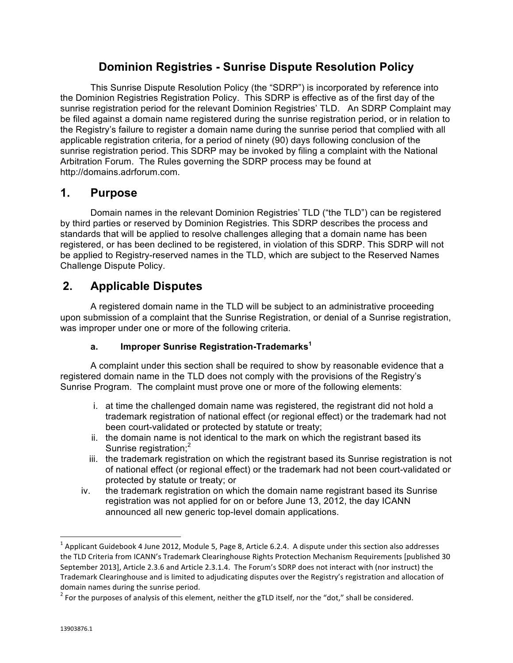## **Dominion Registries - Sunrise Dispute Resolution Policy**

This Sunrise Dispute Resolution Policy (the "SDRP") is incorporated by reference into the Dominion Registries Registration Policy. This SDRP is effective as of the first day of the sunrise registration period for the relevant Dominion Registries' TLD. An SDRP Complaint may be filed against a domain name registered during the sunrise registration period, or in relation to the Registry's failure to register a domain name during the sunrise period that complied with all applicable registration criteria, for a period of ninety (90) days following conclusion of the sunrise registration period. This SDRP may be invoked by filing a complaint with the National Arbitration Forum. The Rules governing the SDRP process may be found at http://domains.adrforum.com.

## **1. Purpose**

Domain names in the relevant Dominion Registries' TLD ("the TLD") can be registered by third parties or reserved by Dominion Registries. This SDRP describes the process and standards that will be applied to resolve challenges alleging that a domain name has been registered, or has been declined to be registered, in violation of this SDRP. This SDRP will not be applied to Registry-reserved names in the TLD, which are subject to the Reserved Names Challenge Dispute Policy.

# **2. Applicable Disputes**

 

A registered domain name in the TLD will be subject to an administrative proceeding upon submission of a complaint that the Sunrise Registration, or denial of a Sunrise registration, was improper under one or more of the following criteria.

## **a. Improper Sunrise Registration-Trademarks<sup>1</sup>**

A complaint under this section shall be required to show by reasonable evidence that a registered domain name in the TLD does not comply with the provisions of the Registry's Sunrise Program. The complaint must prove one or more of the following elements:

- i. at time the challenged domain name was registered, the registrant did not hold a trademark registration of national effect (or regional effect) or the trademark had not been court-validated or protected by statute or treaty;
- ii. the domain name is not identical to the mark on which the registrant based its Sunrise registration:<sup>2</sup>
- iii. the trademark registration on which the registrant based its Sunrise registration is not of national effect (or regional effect) or the trademark had not been court-validated or protected by statute or treaty; or
- iv. the trademark registration on which the domain name registrant based its Sunrise registration was not applied for on or before June 13, 2012, the day ICANN announced all new generic top-level domain applications.

 $1$  Applicant Guidebook 4 June 2012, Module 5, Page 8, Article 6.2.4. A dispute under this section also addresses the TLD Criteria from ICANN's Trademark Clearinghouse Rights Protection Mechanism Requirements [published 30 September 2013], Article 2.3.6 and Article 2.3.1.4. The Forum's SDRP does not interact with (nor instruct) the Trademark Clearinghouse and is limited to adjudicating disputes over the Registry's registration and allocation of domain names during the sunrise period.

 $2$  For the purposes of analysis of this element, neither the gTLD itself, nor the "dot," shall be considered.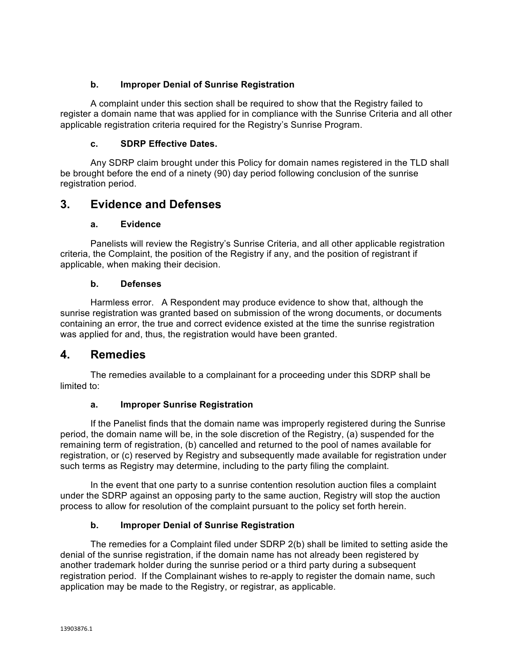### **b. Improper Denial of Sunrise Registration**

A complaint under this section shall be required to show that the Registry failed to register a domain name that was applied for in compliance with the Sunrise Criteria and all other applicable registration criteria required for the Registry's Sunrise Program.

### **c. SDRP Effective Dates.**

Any SDRP claim brought under this Policy for domain names registered in the TLD shall be brought before the end of a ninety (90) day period following conclusion of the sunrise registration period.

## **3. Evidence and Defenses**

### **a. Evidence**

Panelists will review the Registry's Sunrise Criteria, and all other applicable registration criteria, the Complaint, the position of the Registry if any, and the position of registrant if applicable, when making their decision.

### **b. Defenses**

Harmless error. A Respondent may produce evidence to show that, although the sunrise registration was granted based on submission of the wrong documents, or documents containing an error, the true and correct evidence existed at the time the sunrise registration was applied for and, thus, the registration would have been granted.

## **4. Remedies**

The remedies available to a complainant for a proceeding under this SDRP shall be limited to:

### **a. Improper Sunrise Registration**

If the Panelist finds that the domain name was improperly registered during the Sunrise period, the domain name will be, in the sole discretion of the Registry, (a) suspended for the remaining term of registration, (b) cancelled and returned to the pool of names available for registration, or (c) reserved by Registry and subsequently made available for registration under such terms as Registry may determine, including to the party filing the complaint.

In the event that one party to a sunrise contention resolution auction files a complaint under the SDRP against an opposing party to the same auction, Registry will stop the auction process to allow for resolution of the complaint pursuant to the policy set forth herein.

### **b. Improper Denial of Sunrise Registration**

The remedies for a Complaint filed under SDRP 2(b) shall be limited to setting aside the denial of the sunrise registration, if the domain name has not already been registered by another trademark holder during the sunrise period or a third party during a subsequent registration period. If the Complainant wishes to re-apply to register the domain name, such application may be made to the Registry, or registrar, as applicable.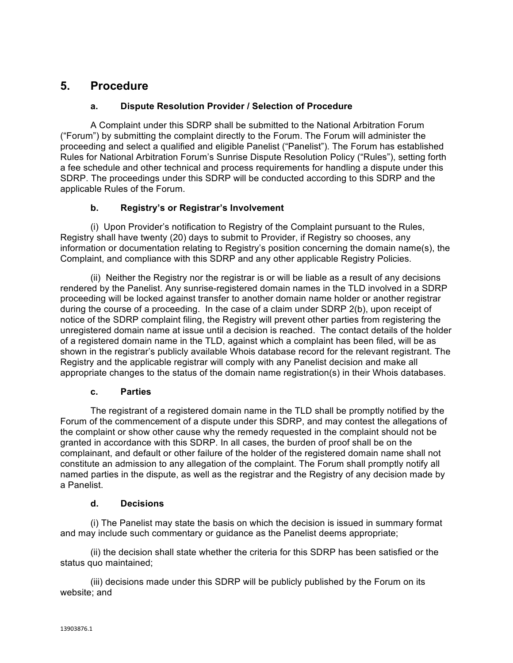## **5. Procedure**

### **a. Dispute Resolution Provider / Selection of Procedure**

A Complaint under this SDRP shall be submitted to the National Arbitration Forum ("Forum") by submitting the complaint directly to the Forum. The Forum will administer the proceeding and select a qualified and eligible Panelist ("Panelist"). The Forum has established Rules for National Arbitration Forum's Sunrise Dispute Resolution Policy ("Rules"), setting forth a fee schedule and other technical and process requirements for handling a dispute under this SDRP. The proceedings under this SDRP will be conducted according to this SDRP and the applicable Rules of the Forum.

### **b. Registry's or Registrar's Involvement**

(i) Upon Provider's notification to Registry of the Complaint pursuant to the Rules, Registry shall have twenty (20) days to submit to Provider, if Registry so chooses, any information or documentation relating to Registry's position concerning the domain name(s), the Complaint, and compliance with this SDRP and any other applicable Registry Policies.

(ii) Neither the Registry nor the registrar is or will be liable as a result of any decisions rendered by the Panelist. Any sunrise-registered domain names in the TLD involved in a SDRP proceeding will be locked against transfer to another domain name holder or another registrar during the course of a proceeding. In the case of a claim under SDRP 2(b), upon receipt of notice of the SDRP complaint filing, the Registry will prevent other parties from registering the unregistered domain name at issue until a decision is reached. The contact details of the holder of a registered domain name in the TLD, against which a complaint has been filed, will be as shown in the registrar's publicly available Whois database record for the relevant registrant. The Registry and the applicable registrar will comply with any Panelist decision and make all appropriate changes to the status of the domain name registration(s) in their Whois databases.

### **c. Parties**

The registrant of a registered domain name in the TLD shall be promptly notified by the Forum of the commencement of a dispute under this SDRP, and may contest the allegations of the complaint or show other cause why the remedy requested in the complaint should not be granted in accordance with this SDRP. In all cases, the burden of proof shall be on the complainant, and default or other failure of the holder of the registered domain name shall not constitute an admission to any allegation of the complaint. The Forum shall promptly notify all named parties in the dispute, as well as the registrar and the Registry of any decision made by a Panelist.

### **d. Decisions**

(i) The Panelist may state the basis on which the decision is issued in summary format and may include such commentary or guidance as the Panelist deems appropriate;

(ii) the decision shall state whether the criteria for this SDRP has been satisfied or the status quo maintained;

(iii) decisions made under this SDRP will be publicly published by the Forum on its website; and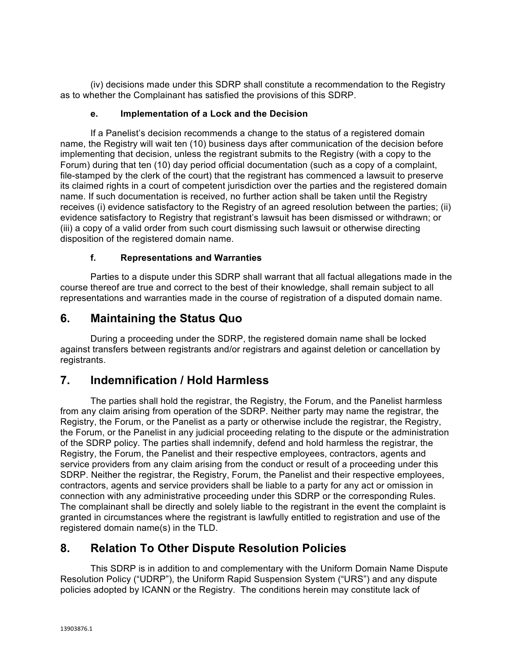(iv) decisions made under this SDRP shall constitute a recommendation to the Registry as to whether the Complainant has satisfied the provisions of this SDRP.

#### **e. Implementation of a Lock and the Decision**

If a Panelist's decision recommends a change to the status of a registered domain name, the Registry will wait ten (10) business days after communication of the decision before implementing that decision, unless the registrant submits to the Registry (with a copy to the Forum) during that ten (10) day period official documentation (such as a copy of a complaint, file-stamped by the clerk of the court) that the registrant has commenced a lawsuit to preserve its claimed rights in a court of competent jurisdiction over the parties and the registered domain name. If such documentation is received, no further action shall be taken until the Registry receives (i) evidence satisfactory to the Registry of an agreed resolution between the parties; (ii) evidence satisfactory to Registry that registrant's lawsuit has been dismissed or withdrawn; or (iii) a copy of a valid order from such court dismissing such lawsuit or otherwise directing disposition of the registered domain name.

### **f. Representations and Warranties**

Parties to a dispute under this SDRP shall warrant that all factual allegations made in the course thereof are true and correct to the best of their knowledge, shall remain subject to all representations and warranties made in the course of registration of a disputed domain name.

## **6. Maintaining the Status Quo**

During a proceeding under the SDRP, the registered domain name shall be locked against transfers between registrants and/or registrars and against deletion or cancellation by registrants.

## **7. Indemnification / Hold Harmless**

The parties shall hold the registrar, the Registry, the Forum, and the Panelist harmless from any claim arising from operation of the SDRP. Neither party may name the registrar, the Registry, the Forum, or the Panelist as a party or otherwise include the registrar, the Registry, the Forum, or the Panelist in any judicial proceeding relating to the dispute or the administration of the SDRP policy. The parties shall indemnify, defend and hold harmless the registrar, the Registry, the Forum, the Panelist and their respective employees, contractors, agents and service providers from any claim arising from the conduct or result of a proceeding under this SDRP. Neither the registrar, the Registry, Forum, the Panelist and their respective employees, contractors, agents and service providers shall be liable to a party for any act or omission in connection with any administrative proceeding under this SDRP or the corresponding Rules. The complainant shall be directly and solely liable to the registrant in the event the complaint is granted in circumstances where the registrant is lawfully entitled to registration and use of the registered domain name(s) in the TLD.

## **8. Relation To Other Dispute Resolution Policies**

This SDRP is in addition to and complementary with the Uniform Domain Name Dispute Resolution Policy ("UDRP"), the Uniform Rapid Suspension System ("URS") and any dispute policies adopted by ICANN or the Registry. The conditions herein may constitute lack of